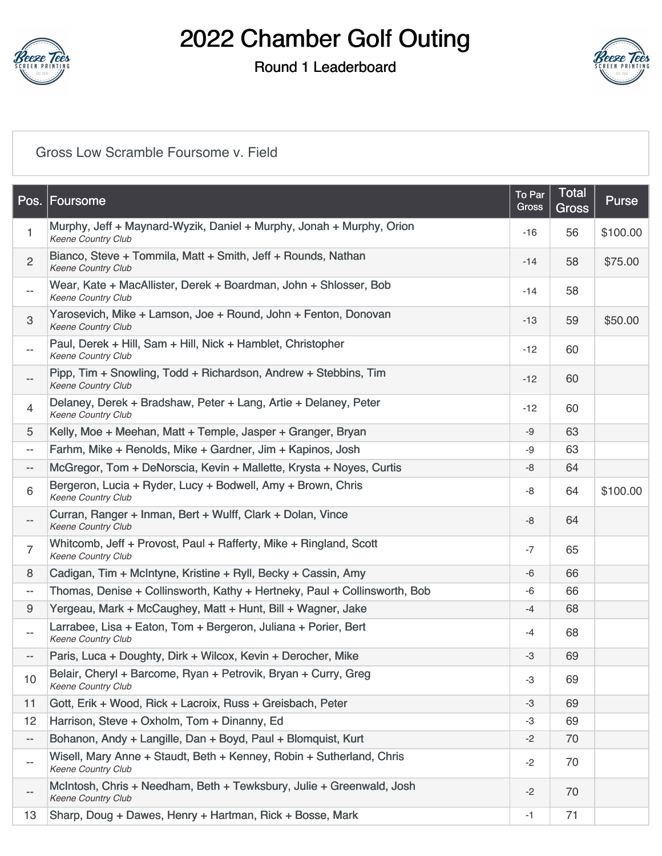

### Round 1 Leaderboard



#### [Gross Low Scramble Foursome v. Field](https://static.golfgenius.com/v2tournaments/8584740312407102984?called_from=&round_index=1)

|                          | Pos. Foursome                                                                                     | To Par<br>Gross | <b>Total</b><br><b>Gross</b> | Purse    |
|--------------------------|---------------------------------------------------------------------------------------------------|-----------------|------------------------------|----------|
| 1                        | Murphy, Jeff + Maynard-Wyzik, Daniel + Murphy, Jonah + Murphy, Orion<br><b>Keene Country Club</b> | $-16$           | 56                           | \$100.00 |
| $\overline{2}$           | Bianco, Steve + Tommila, Matt + Smith, Jeff + Rounds, Nathan<br>Keene Country Club                | $-14$           | 58                           | \$75.00  |
| $-\,-$                   | Wear, Kate + MacAllister, Derek + Boardman, John + Shlosser, Bob<br><b>Keene Country Club</b>     | $-14$           | 58                           |          |
| $\mathbf{3}$             | Yarosevich, Mike + Lamson, Joe + Round, John + Fenton, Donovan<br><b>Keene Country Club</b>       | $-13$           | 59                           | \$50.00  |
| $\overline{\phantom{a}}$ | Paul, Derek + Hill, Sam + Hill, Nick + Hamblet, Christopher<br>Keene Country Club                 | $-12$           | 60                           |          |
|                          | Pipp, Tim + Snowling, Todd + Richardson, Andrew + Stebbins, Tim<br>Keene Country Club             | $-12$           | 60                           |          |
| $\overline{4}$           | Delaney, Derek + Bradshaw, Peter + Lang, Artie + Delaney, Peter<br>Keene Country Club             | $-12$           | 60                           |          |
| 5                        | Kelly, Moe + Meehan, Matt + Temple, Jasper + Granger, Bryan                                       | -9              | 63                           |          |
| $\overline{\phantom{a}}$ | Farhm, Mike + Renolds, Mike + Gardner, Jim + Kapinos, Josh                                        | -9              | 63                           |          |
| $\overline{\phantom{a}}$ | McGregor, Tom + DeNorscia, Kevin + Mallette, Krysta + Noyes, Curtis                               | -8              | 64                           |          |
| 6                        | Bergeron, Lucia + Ryder, Lucy + Bodwell, Amy + Brown, Chris<br>Keene Country Club                 | -8              | 64                           | \$100.00 |
| $-$                      | Curran, Ranger + Inman, Bert + Wulff, Clark + Dolan, Vince<br>Keene Country Club                  | -8              | 64                           |          |
| $\overline{7}$           | Whitcomb, Jeff + Provost, Paul + Rafferty, Mike + Ringland, Scott<br>Keene Country Club           | $-7$            | 65                           |          |
| 8                        | Cadigan, Tim + McIntyne, Kristine + Ryll, Becky + Cassin, Amy                                     | -6              | 66                           |          |
| $- -$                    | Thomas, Denise + Collinsworth, Kathy + Hertneky, Paul + Collinsworth, Bob                         | -6              | 66                           |          |
| 9                        | Yergeau, Mark + McCaughey, Matt + Hunt, Bill + Wagner, Jake                                       | $-4$            | 68                           |          |
| $\overline{\phantom{a}}$ | Larrabee, Lisa + Eaton, Tom + Bergeron, Juliana + Porier, Bert<br><b>Keene Country Club</b>       | -4              | 68                           |          |
| $\overline{\phantom{a}}$ | Paris, Luca + Doughty, Dirk + Wilcox, Kevin + Derocher, Mike                                      | -3              | 69                           |          |
| 10                       | Belair, Cheryl + Barcome, Ryan + Petrovik, Bryan + Curry, Greg<br>Keene Country Club              | -3              | 69                           |          |
| 11                       | Gott, Erik + Wood, Rick + Lacroix, Russ + Greisbach, Peter                                        | -3              | 69                           |          |
| 12                       | Harrison, Steve + Oxholm, Tom + Dinanny, Ed                                                       | -3              | 69                           |          |
| $\overline{\phantom{a}}$ | Bohanon, Andy + Langille, Dan + Boyd, Paul + Blomquist, Kurt                                      | $-2$            | 70                           |          |
| $- -$                    | Wisell, Mary Anne + Staudt, Beth + Kenney, Robin + Sutherland, Chris<br><b>Keene Country Club</b> | -2              | 70                           |          |
|                          | McIntosh, Chris + Needham, Beth + Tewksbury, Julie + Greenwald, Josh<br>Keene Country Club        | $-2$            | 70                           |          |
| 13                       | Sharp, Doug + Dawes, Henry + Hartman, Rick + Bosse, Mark                                          | $-1$            | 71                           |          |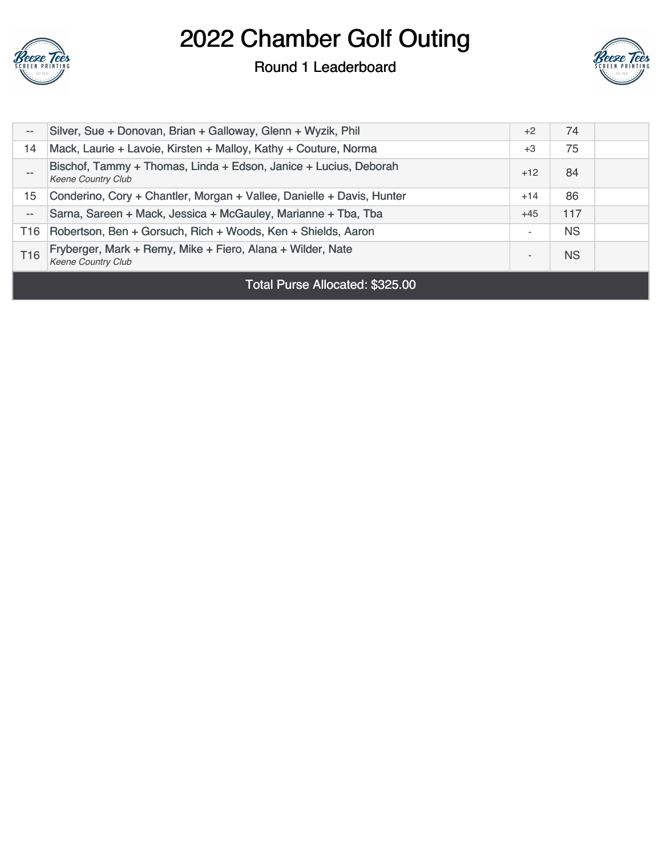

#### Round 1 Leaderboard



| $-\,-$          | Silver, Sue + Donovan, Brian + Galloway, Glenn + Wyzik, Phil                                  | $+2$  | 74        |  |
|-----------------|-----------------------------------------------------------------------------------------------|-------|-----------|--|
| 14              | Mack, Laurie + Lavoie, Kirsten + Malloy, Kathy + Couture, Norma                               | $+3$  | 75        |  |
|                 | Bischof, Tammy + Thomas, Linda + Edson, Janice + Lucius, Deborah<br><b>Keene Country Club</b> | $+12$ | 84        |  |
| 15              | Conderino, Cory + Chantler, Morgan + Vallee, Danielle + Davis, Hunter                         | $+14$ | 86        |  |
| $- -$           | Sarna, Sareen + Mack, Jessica + McGauley, Marianne + Tba, Tba                                 | $+45$ | 117       |  |
| T16             | Robertson, Ben + Gorsuch, Rich + Woods, Ken + Shields, Aaron                                  |       | <b>NS</b> |  |
| T <sub>16</sub> | Fryberger, Mark + Remy, Mike + Fiero, Alana + Wilder, Nate<br><b>Keene Country Club</b>       |       | <b>NS</b> |  |
|                 |                                                                                               |       |           |  |

Total Purse Allocated: \$325.00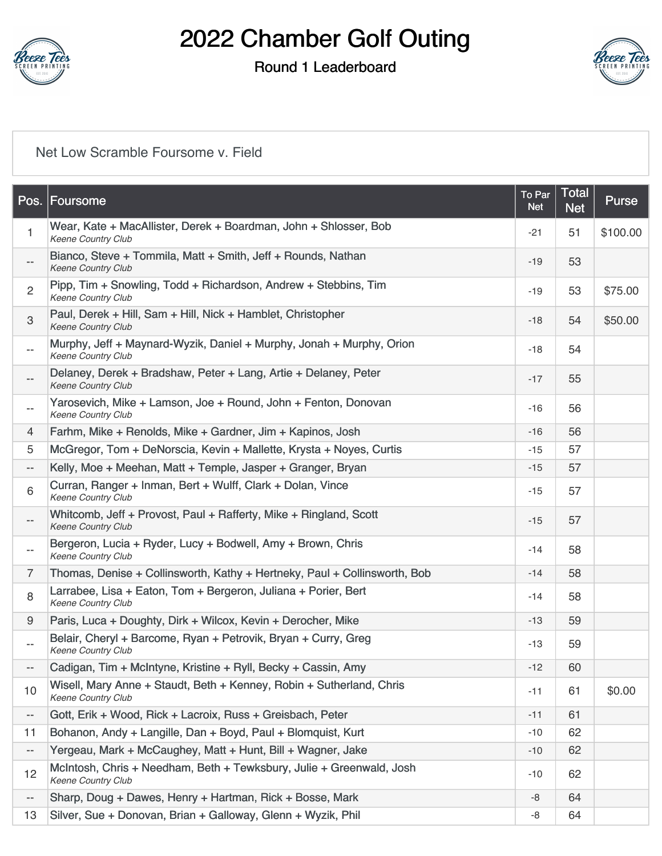

### Round 1 Leaderboard



### [Net Low Scramble Foursome v. Field](https://static.golfgenius.com/v2tournaments/8584740316030981641?called_from=&round_index=1)

|                          | Pos. Foursome                                                                                     | To Par<br><b>Net</b> | <b>Total</b><br><b>Net</b> | Purse    |
|--------------------------|---------------------------------------------------------------------------------------------------|----------------------|----------------------------|----------|
| $\mathbf{1}$             | Wear, Kate + MacAllister, Derek + Boardman, John + Shlosser, Bob<br><b>Keene Country Club</b>     | $-21$                | 51                         | \$100.00 |
| $\overline{\phantom{m}}$ | Bianco, Steve + Tommila, Matt + Smith, Jeff + Rounds, Nathan<br><b>Keene Country Club</b>         | -19                  | 53                         |          |
| $\overline{2}$           | Pipp, Tim + Snowling, Todd + Richardson, Andrew + Stebbins, Tim<br>Keene Country Club             | $-19$                | 53                         | \$75.00  |
| 3                        | Paul, Derek + Hill, Sam + Hill, Nick + Hamblet, Christopher<br>Keene Country Club                 | $-18$                | 54                         | \$50.00  |
| $\overline{\phantom{a}}$ | Murphy, Jeff + Maynard-Wyzik, Daniel + Murphy, Jonah + Murphy, Orion<br><b>Keene Country Club</b> | $-18$                | 54                         |          |
|                          | Delaney, Derek + Bradshaw, Peter + Lang, Artie + Delaney, Peter<br>Keene Country Club             | $-17$                | 55                         |          |
| $- -$                    | Yarosevich, Mike + Lamson, Joe + Round, John + Fenton, Donovan<br><b>Keene Country Club</b>       | $-16$                | 56                         |          |
| 4                        | Farhm, Mike + Renolds, Mike + Gardner, Jim + Kapinos, Josh                                        | $-16$                | 56                         |          |
| 5                        | McGregor, Tom + DeNorscia, Kevin + Mallette, Krysta + Noyes, Curtis                               | -15                  | 57                         |          |
| $\overline{\phantom{a}}$ | Kelly, Moe + Meehan, Matt + Temple, Jasper + Granger, Bryan                                       | $-15$                | 57                         |          |
| 6                        | Curran, Ranger + Inman, Bert + Wulff, Clark + Dolan, Vince<br><b>Keene Country Club</b>           | $-15$                | 57                         |          |
| $\overline{\phantom{a}}$ | Whitcomb, Jeff + Provost, Paul + Rafferty, Mike + Ringland, Scott<br>Keene Country Club           | $-15$                | 57                         |          |
| $\overline{\phantom{a}}$ | Bergeron, Lucia + Ryder, Lucy + Bodwell, Amy + Brown, Chris<br>Keene Country Club                 | $-14$                | 58                         |          |
| $\overline{7}$           | Thomas, Denise + Collinsworth, Kathy + Hertneky, Paul + Collinsworth, Bob                         | $-14$                | 58                         |          |
| 8                        | Larrabee, Lisa + Eaton, Tom + Bergeron, Juliana + Porier, Bert<br><b>Keene Country Club</b>       | $-14$                | 58                         |          |
| 9                        | Paris, Luca + Doughty, Dirk + Wilcox, Kevin + Derocher, Mike                                      | $-13$                | 59                         |          |
| $\overline{\phantom{m}}$ | Belair, Cheryl + Barcome, Ryan + Petrovik, Bryan + Curry, Greg<br>Keene Country Club              | -13                  | 59                         |          |
|                          | Cadigan, Tim + McIntyne, Kristine + Ryll, Becky + Cassin, Amy                                     | $-12$                | 60                         |          |
| 10                       | Wisell, Mary Anne + Staudt, Beth + Kenney, Robin + Sutherland, Chris<br><b>Keene Country Club</b> | $-11$                | 61                         | \$0.00   |
| $\overline{\phantom{a}}$ | Gott, Erik + Wood, Rick + Lacroix, Russ + Greisbach, Peter                                        | $-11$                | 61                         |          |
| 11                       | Bohanon, Andy + Langille, Dan + Boyd, Paul + Blomquist, Kurt                                      | $-10$                | 62                         |          |
| $\overline{\phantom{a}}$ | Yergeau, Mark + McCaughey, Matt + Hunt, Bill + Wagner, Jake                                       | $-10$                | 62                         |          |
| 12                       | McIntosh, Chris + Needham, Beth + Tewksbury, Julie + Greenwald, Josh<br>Keene Country Club        | -10                  | 62                         |          |
| $\overline{\phantom{a}}$ | Sharp, Doug + Dawes, Henry + Hartman, Rick + Bosse, Mark                                          | -8                   | 64                         |          |
| 13                       | Silver, Sue + Donovan, Brian + Galloway, Glenn + Wyzik, Phil                                      | -8                   | 64                         |          |